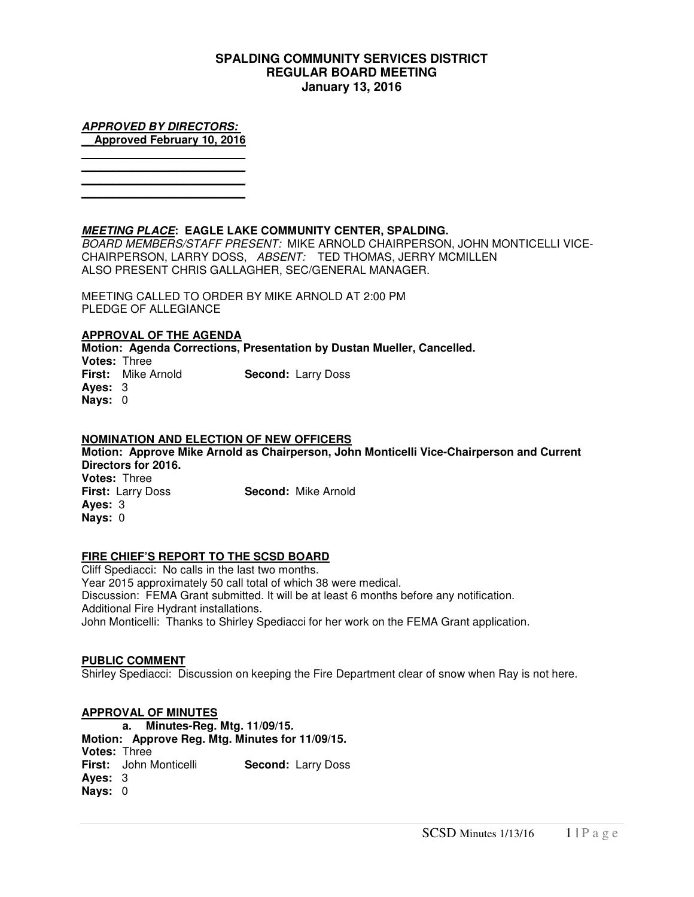# **SPALDING COMMUNITY SERVICES DISTRICT REGULAR BOARD MEETING January 13, 2016**

**APPROVED BY DIRECTORS: \_\_Approved February 10, 2016 \_\_\_\_\_\_\_\_\_\_\_\_\_\_\_\_\_\_\_\_\_\_\_\_\_\_** 

**\_\_\_\_\_\_\_\_\_\_\_\_\_\_\_\_\_\_\_\_\_\_\_\_\_\_ \_\_\_\_\_\_\_\_\_\_\_\_\_\_\_\_\_\_\_\_\_\_\_\_\_\_ \_\_\_\_\_\_\_\_\_\_\_\_\_\_\_\_\_\_\_\_\_\_\_\_\_\_** 

**MEETING PLACE: EAGLE LAKE COMMUNITY CENTER, SPALDING.** 

BOARD MEMBERS/STAFF PRESENT: MIKE ARNOLD CHAIRPERSON, JOHN MONTICELLI VICE-CHAIRPERSON, LARRY DOSS, ABSENT: TED THOMAS, JERRY MCMILLEN ALSO PRESENT CHRIS GALLAGHER, SEC/GENERAL MANAGER.

MEETING CALLED TO ORDER BY MIKE ARNOLD AT 2:00 PM PLEDGE OF ALLEGIANCE

## **APPROVAL OF THE AGENDA**

**Motion: Agenda Corrections, Presentation by Dustan Mueller, Cancelled. Votes:** Three **First:** Mike Arnold **Second:** Larry Doss **Ayes:** 3 **Nays:** 0

# **NOMINATION AND ELECTION OF NEW OFFICERS**

**Motion: Approve Mike Arnold as Chairperson, John Monticelli Vice-Chairperson and Current Directors for 2016. Votes:** Three **First:** Larry Doss **Second:** Mike Arnold **Ayes:** 3 **Nays:** 0

## **FIRE CHIEF'S REPORT TO THE SCSD BOARD**

Cliff Spediacci: No calls in the last two months. Year 2015 approximately 50 call total of which 38 were medical. Discussion: FEMA Grant submitted. It will be at least 6 months before any notification. Additional Fire Hydrant installations. John Monticelli: Thanks to Shirley Spediacci for her work on the FEMA Grant application.

## **PUBLIC COMMENT**

Shirley Spediacci: Discussion on keeping the Fire Department clear of snow when Ray is not here.

**APPROVAL OF MINUTES a. Minutes-Reg. Mtg. 11/09/15. Motion: Approve Reg. Mtg. Minutes for 11/09/15. Votes:** Three **First:** John Monticelli **Second:** Larry Doss **Ayes:** 3 **Nays:** 0